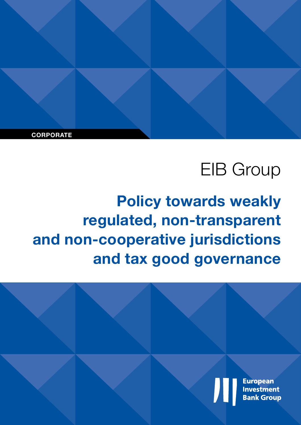**CORPORATE**

# EIB Group

**Policy towards weakly regulated, non-transparent and non-cooperative jurisdictions and tax good governance**

> **European Investment Bank Group**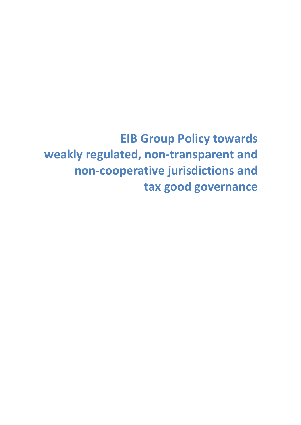**EIB Group Policy towards weakly regulated, non-transparent and non-cooperative jurisdictions and tax good governance**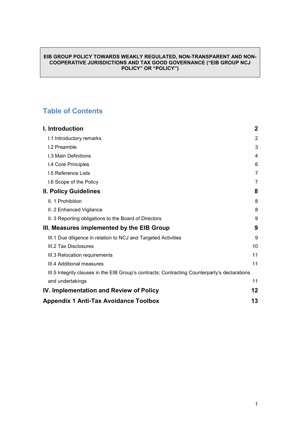#### **EIB GROUP POLICY TOWARDS WEAKLY REGULATED, NON-TRANSPARENT AND NON-COOPERATIVE JURISDICTIONS AND TAX GOOD GOVERNANCE ("EIB GROUP NCJ POLICY" OR "POLICY")**

#### **Table of Contents**

| I. Introduction                                                                               | $\mathbf{2}$ |
|-----------------------------------------------------------------------------------------------|--------------|
| I.1 Introductory remarks                                                                      | 2            |
| I.2 Preamble                                                                                  | 3            |
| I.3 Main Definitions                                                                          | 4            |
| I.4 Core Principles                                                                           | 6            |
| <b>I.5 Reference Lists</b>                                                                    | 7            |
| I.6 Scope of the Policy                                                                       | 7            |
| <b>II. Policy Guidelines</b>                                                                  | 8            |
| II. 1 Prohibition                                                                             | 8            |
| II. 2 Enhanced Vigilance                                                                      | 8            |
| II. 3 Reporting obligations to the Board of Directors                                         | 9            |
| III. Measures implemented by the EIB Group                                                    | 9            |
| III.1 Due diligence in relation to NCJ and Targeted Activities                                | 9            |
| III.2 Tax Disclosures                                                                         | 10           |
| III.3 Relocation requirements                                                                 | 11           |
| III.4 Additional measures                                                                     | 11           |
| III.5 Integrity clauses in the EIB Group's contracts; Contracting Counterparty's declarations |              |
| and undertakings                                                                              | 11           |
| IV. Implementation and Review of Policy                                                       | 12           |
| <b>Appendix 1 Anti-Tax Avoidance Toolbox</b>                                                  |              |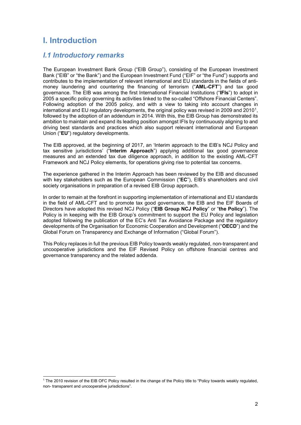## <span id="page-5-0"></span>**I. Introduction**

#### <span id="page-5-1"></span>*I.1 Introductory remarks*

The European Investment Bank Group ("EIB Group"), consisting of the European Investment Bank ("EIB" or "the Bank") and the European Investment Fund ("EIF" or "the Fund") supports and contributes to the implementation of relevant international and EU standards in the fields of antimoney laundering and countering the financing of terrorism ("**AML-CFT**") and tax good governance. The EIB was among the first International Financial Institutions ("**IFIs**") to adopt in 2005 a specific policy governing its activities linked to the so-called "Offshore Financial Centers". Following adoption of the 2005 policy, and with a view to taking into account changes in international and EU regulatory developments, the original policy was revised in 2009 and 2010[1,](#page-5-2) followed by the adoption of an addendum in 2014. With this, the EIB Group has demonstrated its ambition to maintain and expand its leading position amongst IFIs by continuously aligning to and driving best standards and practices which also support relevant international and European Union ("**EU**") regulatory developments.

The EIB approved, at the beginning of 2017, an 'Interim approach to the EIB's NCJ Policy and tax sensitive jurisdictions' ("**Interim Approach**") applying additional tax good governance measures and an extended tax due diligence approach, in addition to the existing AML-CFT Framework and NCJ Policy elements, for operations giving rise to potential tax concerns.

The experience gathered in the Interim Approach has been reviewed by the EIB and discussed with key stakeholders such as the European Commission ("**EC**"), EIB's shareholders and civil society organisations in preparation of a revised EIB Group approach.

In order to remain at the forefront in supporting implementation of international and EU standards in the field of AML-CFT and to promote tax good governance, the EIB and the EIF Boards of Directors have adopted this revised NCJ Policy ("**EIB Group NCJ Policy**" or "**the Policy**"). The Policy is in keeping with the EIB Group's commitment to support the EU Policy and legislation adopted following the publication of the EC's Anti Tax Avoidance Package and the regulatory developments of the Organisation for Economic Cooperation and Development ("**OECD**") and the Global Forum on Transparency and Exchange of Information ("Global Forum").

This Policy replaces in full the previous EIB Policy towards weakly regulated, non-transparent and uncooperative jurisdictions and the EIF Revised Policy on offshore financial centres and governance transparency and the related addenda.

<span id="page-5-2"></span> <sup>1</sup> The 2010 revision of the EIB OFC Policy resulted in the change of the Policy title to "Policy towards weakly regulated, non- transparent and uncooperative jurisdictions".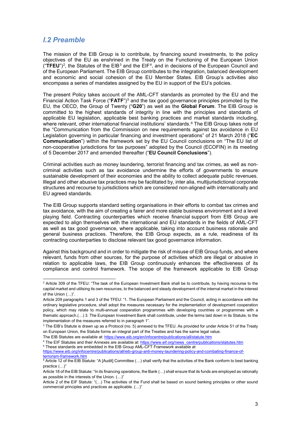#### <span id="page-6-0"></span>*I.2 Preamble*

The mission of the EIB Group is to contribute, by financing sound investments, to the policy objectives of the EU as enshrined in the Treaty on the Functioning of the European Union  $($ " $\overline{\text{TFEU}}$ ")<sup>2</sup>, the Statutes of the EIB<sup>[3](#page-6-2)</sup> and the EIF<sup>[4](#page-6-3)</sup>, and in decisions of the European Council and of the European Parliament. The EIB Group contributes to the integration, balanced development and economic and social cohesion of the EU Member States. EIB Group's activities also encompass a series of mandates assigned by the EU in support of the EU's policies.

The present Policy takes account of the AML-CFT standards as promoted by the EU and the Financial Action Task Force ("**FATF**")[5](#page-6-4) and the tax good governance principles promoted by the EU, the OECD, the Group of Twenty ("**G20**") as well as the **Global Forum**. The EIB Group is committed to the highest standards of integrity in line with the principles and standards of applicable EU legislation, applicable best banking practices and market standards including, where relevant, other international financial institutions' standards.<sup>[6](#page-6-5)</sup> The EIB Group takes note of the "Communication from the Commission on new requirements against tax avoidance in EU Legislation governing in particular financing and investment operations" of 21 March 2018 ("**EC Communication**") within the framework set by the EU Council conclusions on "The EU list of non-cooperative jurisdictions for tax purposes" adopted by the Council (ECOFIN) in its meeting of 5 December 2017 and amended thereafter ("**EU Council Conclusions**").

Criminal activities such as money laundering, terrorist financing and tax crimes, as well as noncriminal activities such as tax avoidance undermine the efforts of governments to ensure sustainable development of their economies and the ability to collect adequate public revenues. Illegal and other abusive tax practices may be facilitated by, inter alia, multijurisdictional corporate structures and recourse to jurisdictions which are considered non-aligned with internationally and EU agreed standards.

The EIB Group supports standard setting organisations in their efforts to combat tax crimes and tax avoidance, with the aim of creating a fairer and more stable business environment and a level playing field. Contracting counterparties which receive financial support from EIB Group are expected to align themselves with the international and EU standards in the fields of AML-CFT as well as tax good governance, where applicable, taking into account business rationale and general business practices. Therefore, the EIB Group expects, as a rule, readiness of its contracting counterparties to disclose relevant tax good governance information.

Against this background and in order to mitigate the risk of misuse of EIB Group funds, and where relevant, funds from other sources, for the purpose of activities which are illegal or abusive in relation to applicable laws, the EIB Group continuously enhances the effectiveness of its compliance and control framework. The scope of the framework applicable to EIB Group

<span id="page-6-1"></span> $2$  Article 309 of the TFEU: "The task of the European Investment Bank shall be to contribute, by having recourse to the capital market and utilising its own resources, to the balanced and steady development of the internal market in the interest of the Union (…)".

Article 209 paragraphs 1 and 3 of the TFEU: "1. The European Parliament and the Council, acting in accordance with the ordinary legislative procedure, shall adopt the measures necessary for the implementation of development cooperation policy, which may relate to multi-annual cooperation programmes with developing countries or programmes with a thematic approach.(…) 3. The European Investment Bank shall contribute, under the terms laid down in its Statute, to the implementation of the measures referred to in paragraph 1".

<span id="page-6-2"></span> $3$  The EIB's Statute is drawn up as a Protocol (no. 5) annexed to the TFEU. As provided for under Article 51 of the Treaty on European Union, the Statute forms an integral part of the Treaties and has the same legal value.

The EIB Statutes are available at[: https://www.eib.org/en/infocentre/publications/all/statute.htm](https://www.eib.org/en/infocentre/publications/all/statute.htm)

<span id="page-6-4"></span><span id="page-6-3"></span><sup>4</sup> The EIF Statutes and their Annexes are available at[: https://www.eif.org/news\\_centre/publications/statutes.htm](https://www.eif.org/news_centre/publications/statutes.htm) <sup>5</sup> These standards are embedded in the EIB Group AML-CFT Framework available at

[https://www.eib.org/infocentre/publications/all/eib-group-anti-money-laundering-policy-and-combating-finance-of](https://www.eib.org/infocentre/publications/all/eib-group-anti-money-laundering-policy-and-combating-finance-of-terrorism-framework.htm)[terrorism-framework.htm](https://www.eib.org/infocentre/publications/all/eib-group-anti-money-laundering-policy-and-combating-finance-of-terrorism-framework.htm)

<span id="page-6-5"></span> $6$  Article 12 of the EIB Statute: "A [Audit] Committee (...) shall verify that the activities of the Bank conform to best banking practice (…)"

Article 18 of the EIB Statute: "In its financing operations, the Bank (…) shall ensure that its funds are employed as rationally as possible in the interests of the Union. (…)"

Article 2 of the EIF Statute: "(…) The activities of the Fund shall be based on sound banking principles or other sound commercial principles and practices as applicable. (…)"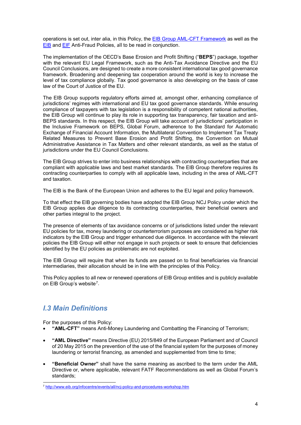operations is set out, inter alia, in this Policy, the **EIB Group AML-CFT Framework** as well as the [EIB](http://www.eib.org/infocentre/publications/all/anti-fraud-policy.htm) and [EIF](https://www.eif.org/news_centre/publications/anti_fraud_policy.htm) Anti-Fraud Policies, all to be read in conjunction.

The implementation of the OECD's Base Erosion and Profit Shifting ("**BEPS**") package, together with the relevant EU Legal Framework, such as the Anti-Tax Avoidance Directive and the EU Council Conclusions, are designed to create a more consistent international tax good governance framework. Broadening and deepening tax cooperation around the world is key to increase the level of tax compliance globally. Tax good governance is also developing on the basis of case law of the Court of Justice of the EU.

The EIB Group supports regulatory efforts aimed at, amongst other, enhancing compliance of jurisdictions' regimes with international and EU tax good governance standards. While ensuring compliance of taxpayers with tax legislation is a responsibility of competent national authorities, the EIB Group will continue to play its role in supporting tax transparency, fair taxation and anti-BEPS standards. In this respect, the EIB Group will take account of jurisdictions' participation in the Inclusive Framework on BEPS, Global Forum, adherence to the Standard for Automatic Exchange of Financial Account Information, the Multilateral Convention to Implement Tax Treaty Related Measures to Prevent Base Erosion and Profit Shifting, the Convention on Mutual Administrative Assistance in Tax Matters and other relevant standards, as well as the status of jurisdictions under the EU Council Conclusions.

The EIB Group strives to enter into business relationships with contracting counterparties that are compliant with applicable laws and best market standards. The EIB Group therefore requires its contracting counterparties to comply with all applicable laws, including in the area of AML-CFT and taxation.

The EIB is the Bank of the European Union and adheres to the EU legal and policy framework.

To that effect the EIB governing bodies have adopted the EIB Group NCJ Policy under which the EIB Group applies due diligence to its contracting counterparties, their beneficial owners and other parties integral to the project.

The presence of elements of tax avoidance concerns or of jurisdictions listed under the relevant EU policies for tax, money laundering or counterterrorism purposes are considered as higher risk indicators by the EIB Group and trigger enhanced due diligence. In accordance with the relevant policies the EIB Group will either not engage in such projects or seek to ensure that deficiencies identified by the EU policies as problematic are not exploited.

The EIB Group will require that when its funds are passed on to final beneficiaries via financial intermediaries, their allocation should be in line with the principles of this Policy.

This Policy applies to all new or renewed operations of EIB Group entities and is publicly available on EIB Group's website<sup>7</sup>.

#### <span id="page-7-0"></span>*I.3 Main Definitions*

For the purposes of this Policy:

- **"AML-CFT"** means Anti-Money Laundering and Combatting the Financing of Terrorism;
- **"AML Directive"** means Directive (EU) 2015/849 of the European Parliament and of Council of 20 May 2015 on the prevention of the use of the financial system for the purposes of money laundering or terrorist financing, as amended and supplemented from time to time;
- **"Beneficial Owner"** shall have the same meaning as ascribed to the term under the AML Directive or, where applicable, relevant FATF Recommendations as well as Global Forum's standards;

<span id="page-7-1"></span> <sup>7</sup> <http://www.eib.org/infocentre/events/all/ncj-policy-and-procedures-workshop.htm>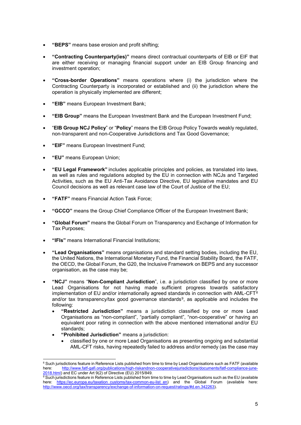- **"BEPS"** means base erosion and profit shifting;
- **"Contracting Counterparty(ies)"** means direct contractual counterparts of EIB or EIF that are either receiving or managing financial support under an EIB Group financing and investment operation;
- **"Cross-border Operations"** means operations where (i) the jurisdiction where the Contracting Counterparty is incorporated or established and (ii) the jurisdiction where the operation is physically implemented are different;
- **"EIB"** means European Investment Bank;
- **"EIB Group"** means the European Investment Bank and the European Investment Fund;
- "**EIB Group NCJ Policy**" or "**Policy**" means the EIB Group Policy Towards weakly regulated, non-transparent and non-Cooperative Jurisdictions and Tax Good Governance;
- **"EIF"** means European Investment Fund;
- **"EU"** means European Union;
- **"EU Legal Framework"** includes applicable principles and policies, as translated into laws, as well as rules and regulations adopted by the EU in connection with NCJs and Targeted Activities, such as the EU Anti-Tax Avoidance Directive, EU legislative mandates and EU Council decisions as well as relevant case law of the Court of Justice of the EU;
- **"FATF"** means Financial Action Task Force;
- **"GCCO"** means the Group Chief Compliance Officer of the European Investment Bank;
- **"Global Forum"** means the Global Forum on Transparency and Exchange of Information for Tax Purposes;
- **"IFIs"** means International Financial Institutions;
- **"Lead Organisations"** means organisations and standard setting bodies, including the EU, the United Nations, the International Monetary Fund, the Financial Stability Board, the FATF, the OECD, the Global Forum, the G20, the Inclusive Framework on BEPS and any successor organisation, as the case may be;
- **"NCJ"** means "**Non-Compliant Jurisdiction**", i.e. a jurisdiction classified by one or more Lead Organisations for not having made sufficient progress towards satisfactory implementation of EU and/or internationally agreed standards in connection with  $AML-CFT<sup>8</sup>$  $AML-CFT<sup>8</sup>$  $AML-CFT<sup>8</sup>$ and/or tax transparency/tax good governance standards<sup>9</sup>, as applicable and includes the following:
	- **"Restricted Jurisdiction"** means a jurisdiction classified by one or more Lead Organisations as "non-compliant", "partially compliant", "non-cooperative" or having an equivalent poor rating in connection with the above mentioned international and/or EU standards;
	- **"Prohibited Jurisdiction"** means a jurisdiction:
		- classified by one or more Lead Organisations as presenting ongoing and substantial AML-CFT risks, having repeatedly failed to address and/or remedy (as the case may

<span id="page-8-0"></span><sup>&</sup>lt;sup>8</sup> Such jurisdictions feature in Reference Lists published from time to time by Lead Organisations such as FATF (available<br>here: http://www.fatf-gafi.org/publications/high-riskandnon-cooperativelurisdictions/documents/fat [http://www.fatf-gafi.org/publications/high-riskandnon-cooperativejurisdictions/documents/fatf-compliance-june-](http://www.fatf-gafi.org/publications/high-riskandnon-cooperativejurisdictions/documents/fatf-compliance-june-2018.html)[2018.html\)](http://www.fatf-gafi.org/publications/high-riskandnon-cooperativejurisdictions/documents/fatf-compliance-june-2018.html) and EC under Art 9(2) of Directive (EU) 2015/849.

<span id="page-8-1"></span> $\overline{{}^9}$ Such jurisdictions feature in Reference Lists published from time to time by Lead Organisations such as the EU (available here: [https://ec.europa.eu/taxation\\_customs/tax-common-eu-list\\_en\)](https://ec.europa.eu/taxation_customs/tax-common-eu-list_en) and the Global Forum (available here: [http://www.oecd.org/tax/transparency/exchange-of-information-on-request/ratings/#d.en.342263\)](http://www.oecd.org/tax/transparency/exchange-of-information-on-request/ratings/#d.en.342263).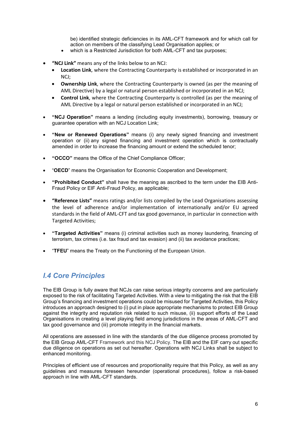be) identified strategic deficiencies in its AML-CFT framework and for which call for action on members of the classifying Lead Organisation applies; or

- which is a Restricted Jurisdiction for both AML-CFT and tax purposes:
- **"NCJ Link"** means any of the links below to an NCJ:
	- **Location Link**, where the Contracting Counterparty is established or incorporated in an NCJ;
	- **Ownership Link**, where the Contracting Counterparty is owned (as per the meaning of AML Directive) by a legal or natural person established or incorporated in an NCJ;
	- **Control Link**, where the Contracting Counterparty is controlled (as per the meaning of AML Directive by a legal or natural person established or incorporated in an NCJ;
- **"NCJ Operation"** means a lending (including equity investments), borrowing, treasury or guarantee operation with an NCJ Location Link;
- **"New or Renewed Operations"** means (i) any newly signed financing and investment operation or (ii) any signed financing and investment operation which is contractually amended in order to increase the financing amount or extend the scheduled tenor;
- **"OCCO"** means the Office of the Chief Compliance Officer;
- "**OECD**" means the Organisation for Economic Cooperation and Development;
- **"Prohibited Conduct"** shall have the meaning as ascribed to the term under the EIB Anti-Fraud Policy or EIF Anti-Fraud Policy, as applicable;
- **"Reference Lists"** means ratings and/or lists compiled by the Lead Organisations assessing the level of adherence and/or implementation of internationally and/or EU agreed standards in the field of AML-CFT and tax good governance, in particular in connection with Targeted Activities;
- **"Targeted Activities"** means (i) criminal activities such as money laundering, financing of terrorism, tax crimes (i.e. tax fraud and tax evasion) and (ii) tax avoidance practices;
- "**TFEU**" means the Treaty on the Functioning of the European Union.

#### <span id="page-9-0"></span>*I.4 Core Principles*

The EIB Group is fully aware that NCJs can raise serious integrity concerns and are particularly exposed to the risk of facilitating Targeted Activities. With a view to mitigating the risk that the EIB Group's financing and investment operations could be misused for Targeted Activities, this Policy introduces an approach designed to (i) put in place appropriate mechanisms to protect EIB Group against the integrity and reputation risk related to such misuse, (ii) support efforts of the Lead Organisations in creating a level playing field among jurisdictions in the areas of AML-CFT and tax good governance and (iii) promote integrity in the financial markets.

All operations are assessed in line with the standards of the due diligence process promoted by the EIB Group AML-CFT Framework and this NCJ Policy. The EIB and the EIF carry out specific due diligence on operations as set out hereafter. Operations with NCJ Links shall be subject to enhanced monitoring.

Principles of efficient use of resources and proportionality require that this Policy, as well as any guidelines and measures foreseen hereunder (operational procedures), follow a risk-based approach in line with AML-CFT standards.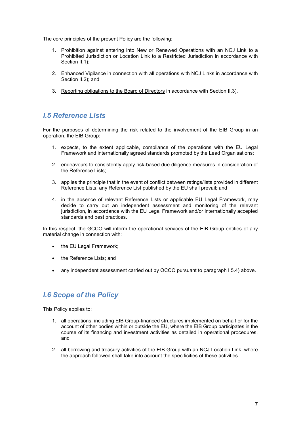The core principles of the present Policy are the following:

- 1. Prohibition against entering into New or Renewed Operations with an NCJ Link to a Prohibited Jurisdiction or Location Link to a Restricted Jurisdiction in accordance with Section II.1):
- 2. Enhanced Vigilance in connection with all operations with NCJ Links in accordance with Section II.2); and
- 3. Reporting obligations to the Board of Directors in accordance with Section II.3).

#### <span id="page-10-0"></span>*I.5 Reference Lists*

For the purposes of determining the risk related to the involvement of the EIB Group in an operation, the EIB Group:

- 1. expects, to the extent applicable, compliance of the operations with the EU Legal Framework and internationally agreed standards promoted by the Lead Organisations;
- 2. endeavours to consistently apply risk-based due diligence measures in consideration of the Reference Lists;
- 3. applies the principle that in the event of conflict between ratings/lists provided in different Reference Lists, any Reference List published by the EU shall prevail; and
- 4. in the absence of relevant Reference Lists or applicable EU Legal Framework, may decide to carry out an independent assessment and monitoring of the relevant jurisdiction, in accordance with the EU Legal Framework and/or internationally accepted standards and best practices.

In this respect, the GCCO will inform the operational services of the EIB Group entities of any material change in connection with:

- the EU Legal Framework;
- the Reference Lists; and
- any independent assessment carried out by OCCO pursuant to paragraph I.5.4) above.

#### <span id="page-10-1"></span>*I.6 Scope of the Policy*

This Policy applies to:

- 1. all operations, including EIB Group-financed structures implemented on behalf or for the account of other bodies within or outside the EU, where the EIB Group participates in the course of its financing and investment activities as detailed in operational procedures, and
- 2. all borrowing and treasury activities of the EIB Group with an NCJ Location Link, where the approach followed shall take into account the specificities of these activities.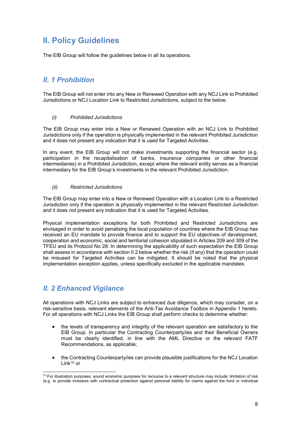# <span id="page-11-0"></span>**II. Policy Guidelines**

The EIB Group will follow the guidelines below in all its operations.

#### <span id="page-11-1"></span>*II. 1 Prohibition*

The EIB Group will not enter into any New or Renewed Operation with any NCJ Link to Prohibited Jurisdictions or NCJ Location Link to Restricted Jurisdictions, subject to the below.

#### *(i) Prohibited Jurisdictions*

The EIB Group may enter into a New or Renewed Operation with an NCJ Link to Prohibited Jurisdictions only if the operation is physically implemented in the relevant Prohibited Jurisdiction and it does not present any indication that it is used for Targeted Activities.

In any event, the EIB Group will not make investments supporting the financial sector (e.g. participation in the recapitalisation of banks, insurance companies or other financial intermediaries) in a Prohibited Jurisdiction, except where the relevant entity serves as a financial intermediary for the EIB Group's investments in the relevant Prohibited Jurisdiction.

#### *(ii) Restricted Jurisdictions*

The EIB Group may enter into a New or Renewed Operation with a Location Link to a Restricted Jurisdiction only if the operation is physically implemented in the relevant Restricted Jurisdiction and it does not present any indication that it is used for Targeted Activities.

Physical implementation exceptions for both Prohibited and Restricted Jurisdictions are envisaged in order to avoid penalising the local population of countries where the EIB Group has received an EU mandate to provide finance and to support the EU objectives of development, cooperation and economic, social and territorial cohesion stipulated in Articles 209 and 309 of the TFEU and its Protocol No 28. In determining the applicability of such expectation the EIB Group shall assess in accordance with section II.2 below whether the risk (if any) that the operation could be misused for Targeted Activities can be mitigated. It should be noted that the physical implementation exception applies, unless specifically excluded in the applicable mandates.

#### <span id="page-11-2"></span>*II. 2 Enhanced Vigilance*

All operations with NCJ Links are subject to enhanced due diligence, which may consider, on a risk-sensitive basis, relevant elements of the Anti-Tax Avoidance Toolbox in Appendix 1 hereto. For all operations with NCJ Links the EIB Group shall perform checks to determine whether:

- the levels of transparency and integrity of the relevant operation are satisfactory to the EIB Group. In particular the Contracting Counterparty/ies and their Beneficial Owners must be clearly identified, in line with the AML Directive or the relevant FATF Recommendations, as applicable;
- the Contracting Counterparty/ies can provide plausible justifications for the NCJ Location Link[10](#page-11-3) or

<span id="page-11-3"></span><sup>&</sup>lt;sup>10</sup> For illustration purposes, sound economic purposes for recourse to a relevant structure may include: limitation of risk (e.g. to provide investors with contractual protection against personal liability for claims against the fund or individual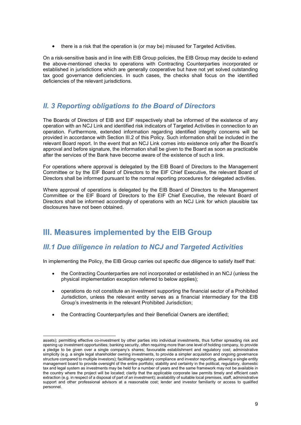• there is a risk that the operation is (or may be) misused for Targeted Activities.

On a risk-sensitive basis and in line with EIB Group policies, the EIB Group may decide to extend the above-mentioned checks to operations with Contracting Counterparties incorporated or established in jurisdictions which are generally cooperative but have not yet solved outstanding tax good governance deficiencies. In such cases, the checks shall focus on the identified deficiencies of the relevant jurisdictions.

#### <span id="page-12-0"></span>*II. 3 Reporting obligations to the Board of Directors*

The Boards of Directors of EIB and EIF respectively shall be informed of the existence of any operation with an NCJ Link and identified risk indicators of Targeted Activities in connection to an operation. Furthermore, extended information regarding identified integrity concerns will be provided in accordance with Section III.2 of this Policy. Such information shall be included in the relevant Board report. In the event that an NCJ Link comes into existence only after the Board's approval and before signature, the information shall be given to the Board as soon as practicable after the services of the Bank have become aware of the existence of such a link.

For operations where approval is delegated by the EIB Board of Directors to the Management Committee or by the EIF Board of Directors to the EIF Chief Executive, the relevant Board of Directors shall be informed pursuant to the normal reporting procedures for delegated activities.

Where approval of operations is delegated by the EIB Board of Directors to the Management Committee or the EIF Board of Directors to the EIF Chief Executive, the relevant Board of Directors shall be informed accordingly of operations with an NCJ Link for which plausible tax disclosures have not been obtained.

### <span id="page-12-1"></span>**III. Measures implemented by the EIB Group**

#### <span id="page-12-2"></span>*III.1 Due diligence in relation to NCJ and Targeted Activities*

In implementing the Policy, the EIB Group carries out specific due diligence to satisfy itself that:

- the Contracting Counterparties are not incorporated or established in an NCJ (unless the physical implementation exception referred to below applies);
- operations do not constitute an investment supporting the financial sector of a Prohibited Jurisdiction, unless the relevant entity serves as a financial intermediary for the EIB Group's investments in the relevant Prohibited Jurisdiction;
- the Contracting Counterparty/ies and their Beneficial Owners are identified;

assets); permitting effective co-investment by other parties into individual investments, thus further spreading risk and opening up investment opportunities; banking security, often requiring more than one level of holding company, to provide a pledge to be given over a single company's shares; favourable establishment and regulatory cost; administrative simplicity (e.g. a single legal shareholder owning investments, to provide a simpler acquisition and ongoing governance structure compared to multiple investors); facilitating regulatory compliance and investor reporting, allowing a single entity management board to provide oversight of the entire portfolio; stability and certainty in the political, regulatory, domestic tax and legal system as investments may be held for a number of years and the same framework may not be available in the country where the project will be located; clarity that the applicable corporate law permits timely and efficient cash extraction (e.g. in respect of a disposal of part of an investment); availability of suitable local premises, staff, administrative support and other professional advisors at a reasonable cost; lender and investor familiarity or access to qualified personnel.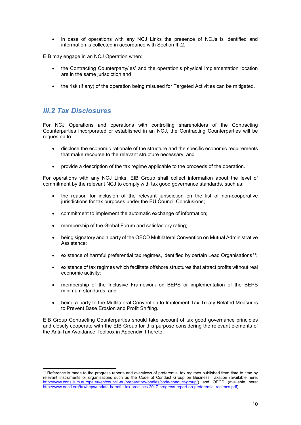in case of operations with any NCJ Links the presence of NCJs is identified and information is collected in accordance with Section III.2.

EIB may engage in an NCJ Operation when:

- the Contracting Counterparty/ies' and the operation's physical implementation location are in the same jurisdiction and
- the risk (if any) of the operation being misused for Targeted Activities can be mitigated.

#### <span id="page-13-0"></span>*III.2 Tax Disclosures*

For NCJ Operations and operations with controlling shareholders of the Contracting Counterparties incorporated or established in an NCJ, the Contracting Counterparties will be requested to:

- disclose the economic rationale of the structure and the specific economic requirements that make recourse to the relevant structure necessary; and
- provide a description of the tax regime applicable to the proceeds of the operation.

For operations with any NCJ Links, EIB Group shall collect information about the level of commitment by the relevant NCJ to comply with tax good governance standards, such as:

- the reason for inclusion of the relevant jurisdiction on the list of non-cooperative jurisdictions for tax purposes under the EU Council Conclusions:
- commitment to implement the automatic exchange of information;
- membership of the Global Forum and satisfactory rating;
- being signatory and a party of the OECD Multilateral Convention on Mutual Administrative Assistance;
- existence of harmful preferential tax regimes, identified by certain Lead Organisations<sup>11</sup>;
- existence of tax regimes which facilitate offshore structures that attract profits without real economic activity;
- membership of the Inclusive Framework on BEPS or implementation of the BEPS minimum standards; and
- being a party to the Multilateral Convention to Implement Tax Treaty Related Measures to Prevent Base Erosion and Profit Shifting.

EIB Group Contracting Counterparties should take account of tax good governance principles and closely cooperate with the EIB Group for this purpose considering the relevant elements of the Anti-Tax Avoidance Toolbox in Appendix 1 hereto.

<span id="page-13-1"></span><sup>&</sup>lt;sup>11</sup> Reference is made to the progress reports and overviews of preferential tax regimes published from time to time by relevant instruments or organisations such as the Code of Conduct Group on Business Taxation (available here: [http://www.consilium.europa.eu/en/council-eu/preparatory-bodies/code-conduct-group/\)](http://www.consilium.europa.eu/en/council-eu/preparatory-bodies/code-conduct-group/) and OECD (available here: [http://www.oecd.org/tax/beps/update-harmful-tax-practices-2017-progress-report-on-preferential-regimes.pdf\)](http://www.oecd.org/tax/beps/update-harmful-tax-practices-2017-progress-report-on-preferential-regimes.pdf).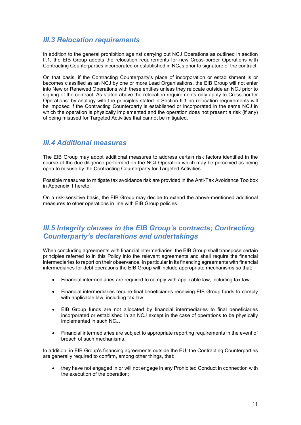#### <span id="page-14-0"></span>*III.3 Relocation requirements*

In addition to the general prohibition against carrying out NCJ Operations as outlined in section II.1, the EIB Group adopts the relocation requirements for new Cross-border Operations with Contracting Counterparties incorporated or established in NCJs prior to signature of the contract.

On that basis, if the Contracting Counterparty's place of incorporation or establishment is or becomes classified as an NCJ by one or more Lead Organisations, the EIB Group will not enter into New or Renewed Operations with these entities unless they relocate outside an NCJ prior to signing of the contract. As stated above the relocation requirements only apply to Cross-border Operations: by analogy with the principles stated in Section II.1 no relocation requirements will be imposed if the Contracting Counterparty is established or incorporated in the same NCJ in which the operation is physically implemented and the operation does not present a risk (if any) of being misused for Targeted Activities that cannot be mitigated.

#### <span id="page-14-1"></span>*III.4 Additional measures*

The EIB Group may adopt additional measures to address certain risk factors identified in the course of the due diligence performed on the NCJ Operation which may be perceived as being open to misuse by the Contracting Counterparty for Targeted Activities.

Possible measures to mitigate tax avoidance risk are provided in the Anti-Tax Avoidance Toolbox in Appendix 1 hereto.

On a risk-sensitive basis, the EIB Group may decide to extend the above-mentioned additional measures to other operations in line with EIB Group policies.

#### <span id="page-14-2"></span>*III.5 Integrity clauses in the EIB Group's contracts; Contracting Counterparty's declarations and undertakings*

When concluding agreements with financial intermediaries, the EIB Group shall transpose certain principles referred to in this Policy into the relevant agreements and shall require the financial intermediaries to report on their observance. In particular in its financing agreements with financial intermediaries for debt operations the EIB Group will include appropriate mechanisms so that:

- Financial intermediaries are required to comply with applicable law, including tax law.
- Financial intermediaries require final beneficiaries receiving EIB Group funds to comply with applicable law, including tax law.
- EIB Group funds are not allocated by financial intermediaries to final beneficiaries incorporated or established in an NCJ except in the case of operations to be physically implemented in such NCJ.
- Financial intermediaries are subject to appropriate reporting requirements in the event of breach of such mechanisms.

In addition, in EIB Group's financing agreements outside the EU, the Contracting Counterparties are generally required to confirm, among other things, that:

• they have not engaged in or will not engage in any Prohibited Conduct in connection with the execution of the operation;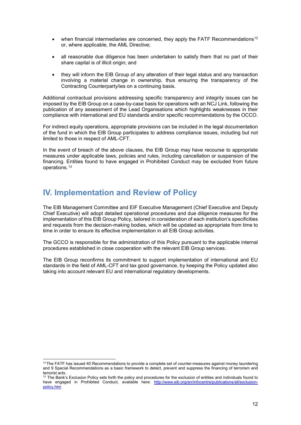- when financial intermediaries are concerned, they apply the FATF Recommendations<sup>[12](#page-15-1)</sup> or, where applicable, the AML Directive;
- all reasonable due diligence has been undertaken to satisfy them that no part of their share capital is of illicit origin; and
- they will inform the EIB Group of any alteration of their legal status and any transaction involving a material change in ownership, thus ensuring the transparency of the Contracting Counterparty/ies on a continuing basis.

Additional contractual provisions addressing specific transparency and integrity issues can be imposed by the EIB Group on a case-by-case basis for operations with an NCJ Link, following the publication of any assessment of the Lead Organisations which highlights weaknesses in their compliance with international and EU standards and/or specific recommendations by the OCCO.

For indirect equity operations, appropriate provisions can be included in the legal documentation of the fund in which the EIB Group participates to address compliance issues, including but not limited to those in respect of AML-CFT.

In the event of breach of the above clauses, the EIB Group may have recourse to appropriate measures under applicable laws, policies and rules, including cancellation or suspension of the financing. Entities found to have engaged in Prohibited Conduct may be excluded from future operations.[13](#page-15-2)

# <span id="page-15-0"></span>**IV. Implementation and Review of Policy**

The EIB Management Committee and EIF Executive Management (Chief Executive and Deputy Chief Executive) will adopt detailed operational procedures and due diligence measures for the implementation of this EIB Group Policy, tailored in consideration of each institution's specificities and requests from the decision-making bodies, which will be updated as appropriate from time to time in order to ensure its effective implementation in all EIB Group activities.

The GCCO is responsible for the administration of this Policy pursuant to the applicable internal procedures established in close cooperation with the relevant EIB Group services.

The EIB Group reconfirms its commitment to support implementation of international and EU standards in the field of AML-CFT and tax good governance, by keeping the Policy updated also taking into account relevant EU and international regulatory developments.

<span id="page-15-1"></span> $12$  The FATF has issued 40 Recommendations to provide a complete set of counter-measures against money laundering and 9 Special Recommendations as a basic framework to detect, prevent and suppress the financing of terrorism and terrorist acts.

<span id="page-15-2"></span> $13$  The Bank's Exclusion Policy sets forth the policy and procedures for the exclusion of entities and individuals found to have engaged in Prohibited Conduct, available here: [http://www.eib.org/en/infocentre/publications/all/exclusion](http://www.eib.org/en/infocentre/publications/all/exclusion-policy.htm)[policy.htm](http://www.eib.org/en/infocentre/publications/all/exclusion-policy.htm)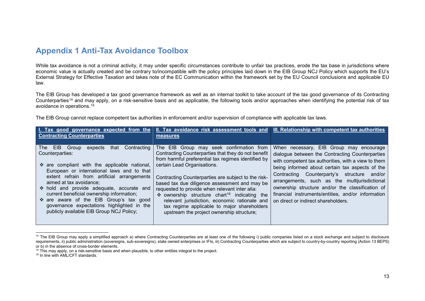#### <span id="page-16-3"></span><span id="page-16-2"></span><span id="page-16-1"></span>**Appendix 1 Anti-Tax Avoidance Toolbox**

While tax avoidance is not a criminal activity, it may under specific circumstances contribute to unfair tax practices, erode the tax base in jurisdictions where economic value is actually created and be contrary to/incompatible with the policy principles laid down in the EIB Group NCJ Policy which supports the EU's External Strategy for Effective Taxation and takes note of the EC Communication within the framework set by the EU Council conclusions and applicable EU law.

The EIB Group has developed a tax good governance framework as well as an internal toolkit to take account of the tax good governance of its Contracting Counterparties[14](#page-16-1) and may apply, on a risk-sensitive basis and as applicable, the following tools and/or approaches when identifying the potential risk of tax avoidance in operations.[15](#page-16-2)

The EIB Group cannot replace competent tax authorities in enforcement and/or supervision of compliance with applicable tax laws.

<span id="page-16-0"></span>

| I. Tax good governance expected from the<br><b>Contracting Counterparties</b>                                                                                                                                                                                                                                                                                                                                                                                                        | II. Tax avoidance risk assessment tools and<br>measures                                                                                                                                                                                                                                                                                                                                                                                                                                                                                                  | III. Relationship with competent tax authorities                                                                                                                                                                                                                                                                                                                                                                                                      |
|--------------------------------------------------------------------------------------------------------------------------------------------------------------------------------------------------------------------------------------------------------------------------------------------------------------------------------------------------------------------------------------------------------------------------------------------------------------------------------------|----------------------------------------------------------------------------------------------------------------------------------------------------------------------------------------------------------------------------------------------------------------------------------------------------------------------------------------------------------------------------------------------------------------------------------------------------------------------------------------------------------------------------------------------------------|-------------------------------------------------------------------------------------------------------------------------------------------------------------------------------------------------------------------------------------------------------------------------------------------------------------------------------------------------------------------------------------------------------------------------------------------------------|
| The EIB Group<br>Contracting<br>expects<br>that<br>Counterparties:<br>$\div$ are compliant with the applicable national,<br>European or international laws and to that<br>extent refrain from artificial arrangements<br>aimed at tax avoidance:<br>$\div$ hold and provide adequate, accurate and<br>current beneficial ownership information;<br>❖ are aware of the EIB Group's tax good<br>governance expectations highlighted in the<br>publicly available EIB Group NCJ Policy; | The EIB Group may seek confirmation from<br>Contracting Counterparties that they do not benefit<br>from harmful preferential tax regimes identified by<br>certain Lead Organisations.<br>Contracting Counterparties are subject to the risk-<br>based tax due diligence assessment and may be<br>requested to provide when relevant inter alia:<br>• ownership structure chart <sup>16</sup> indicating the<br>relevant jurisdiction, economic rationale and<br>tax regime applicable to major shareholders<br>upstream the project ownership structure; | When necessary, EIB Group may encourage<br>dialogue between the Contracting Counterparties<br>with competent tax authorities, with a view to them<br>being informed about certain tax aspects of the<br>Contracting Counterparty's structure and/or<br>arrangements, such as the multijurisdictional<br>ownership structure and/or the classification of<br>financial instruments/entities, and/or information<br>on direct or indirect shareholders. |

<sup>&</sup>lt;sup>14</sup> The EIB Group may apply a simplified approach a) where Contracting Counterparties are at least one of the following i) public companies listed on a stock exchange and subject to disclosure requirements, ii) public administration (sovereigns, sub-sovereigns), state owned enterprises or IFIs, iii) Contracting Counterparties which are subject to country-by-country reporting (Action 13 BEPS) or b) in the absence of cross-border elements.

<sup>&</sup>lt;sup>15</sup> This may apply, on a risk-sensitive basis and when plausible, to other entities integral to the project.

<sup>&</sup>lt;sup>16</sup> In line with AML/CFT standards.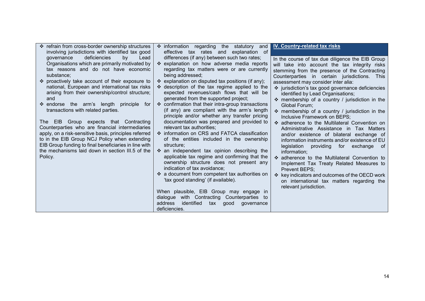| ❖ refrain from cross-border ownership structures<br>involving jurisdictions with identified tax good                                                                                                                                                                                                                                                                                                                                                                                                                                                                                               | ❖ information regarding the statutory and<br>effective tax rates and explanation of                                                                                                                                                                                                                                                                                                                                                                                                                                                                                                                                                                                                                                                                                                                                                                                                                                                      | IV. Country-related tax risks                                                                                                                                                                                                                                                                                                                                                                                                                                                                                                                                                                                                                                                                                                                                                                                                              |
|----------------------------------------------------------------------------------------------------------------------------------------------------------------------------------------------------------------------------------------------------------------------------------------------------------------------------------------------------------------------------------------------------------------------------------------------------------------------------------------------------------------------------------------------------------------------------------------------------|------------------------------------------------------------------------------------------------------------------------------------------------------------------------------------------------------------------------------------------------------------------------------------------------------------------------------------------------------------------------------------------------------------------------------------------------------------------------------------------------------------------------------------------------------------------------------------------------------------------------------------------------------------------------------------------------------------------------------------------------------------------------------------------------------------------------------------------------------------------------------------------------------------------------------------------|--------------------------------------------------------------------------------------------------------------------------------------------------------------------------------------------------------------------------------------------------------------------------------------------------------------------------------------------------------------------------------------------------------------------------------------------------------------------------------------------------------------------------------------------------------------------------------------------------------------------------------------------------------------------------------------------------------------------------------------------------------------------------------------------------------------------------------------------|
| deficiencies<br>by<br>Lead<br>qovernance<br>Organisations which are primarily motivated by<br>tax reasons and do not have economic                                                                                                                                                                                                                                                                                                                                                                                                                                                                 | differences (if any) between such two rates;<br>* explanation on how adverse media reports<br>regarding tax matters were or are currently                                                                                                                                                                                                                                                                                                                                                                                                                                                                                                                                                                                                                                                                                                                                                                                                | In the course of tax due diligence the EIB Group<br>will take into account the tax integrity risks<br>stemming from the presence of the Contracting                                                                                                                                                                                                                                                                                                                                                                                                                                                                                                                                                                                                                                                                                        |
| substance;<br>❖ proactively take account of their exposure to<br>national, European and international tax risks<br>arising from their ownership/control structure;<br>and<br>$\div$ endorse the arm's length principle<br>for<br>transactions with related parties.<br>The EIB Group expects that Contracting<br>Counterparties who are financial intermediaries<br>apply, on a risk-sensitive basis, principles referred<br>to in the EIB Group NCJ Policy when extending<br>EIB Group funding to final beneficiaries in line with<br>the mechanisms laid down in section III.5 of the<br>Policy. | being addressed;<br>❖ explanation on disputed tax positions (if any);<br>❖ description of the tax regime applied to the<br>expected revenues/cash flows that will be<br>generated from the supported project;<br>❖ confirmation that their intra-group transactions<br>(if any) are compliant with the arm's length<br>principle and/or whether any transfer pricing<br>documentation was prepared and provided to<br>relevant tax authorities;<br>❖ information on CRS and FATCA classification<br>of the entities included in the ownership<br>structure:<br>❖ an independent tax opinion describing the<br>applicable tax regime and confirming that the<br>ownership structure does not present any<br>indication of tax avoidance;<br>❖ a document from competent tax authorities on<br>'tax good standing' (if available).<br>When plausible, EIB Group may engage in<br>with Contracting Counterparties to<br>dialogue<br>address | Counterparties in certain jurisdictions. This<br>assessment may consider inter alia:<br>❖ jurisdiction's tax good governance deficiencies<br>identified by Lead Organisations;<br>❖ membership of a country / jurisdiction in the<br>Global Forum:<br>$\div$ membership of a country / jurisdiction in the<br>Inclusive Framework on BEPS;<br>❖ adherence to the Multilateral Convention on<br>Administrative Assistance in Tax Matters<br>and/or existence of bilateral exchange of<br>information instruments and/or existence of EU<br>legislation<br>providing for exchange of<br>information;<br>❖ adherence to the Multilateral Convention to<br>Implement Tax Treaty Related Measures to<br>Prevent BEPS;<br>❖ key indicators and outcomes of the OECD work<br>on international tax matters regarding the<br>relevant jurisdiction. |
|                                                                                                                                                                                                                                                                                                                                                                                                                                                                                                                                                                                                    | identified<br>tax<br>good<br>governance<br>deficiencies.                                                                                                                                                                                                                                                                                                                                                                                                                                                                                                                                                                                                                                                                                                                                                                                                                                                                                 |                                                                                                                                                                                                                                                                                                                                                                                                                                                                                                                                                                                                                                                                                                                                                                                                                                            |